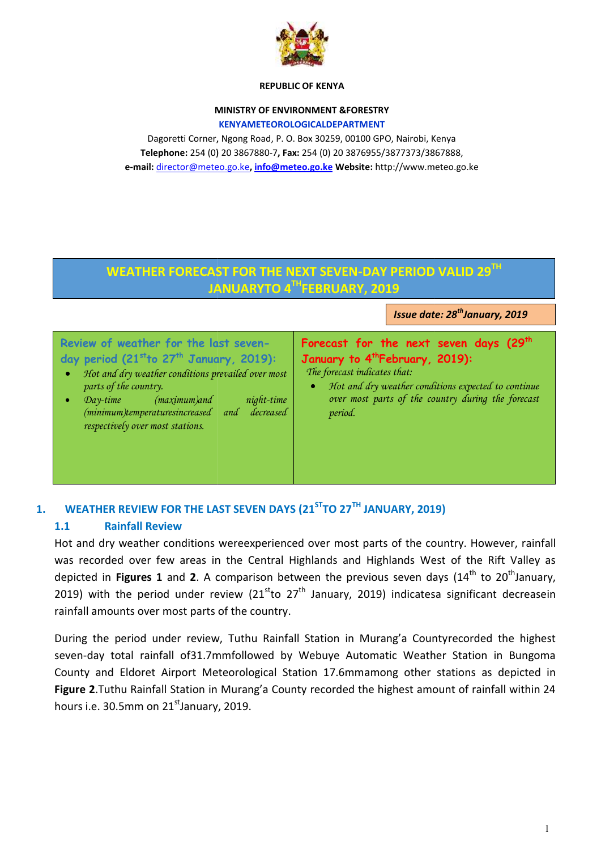

#### **REPUBLIC OF KENYA**

## **MINISTRY OF ENVIRONMENT &FORESTRY**

**KENYAMETEOROLOGICALDEPARTMENT**

Dagoretti Corner, Ngong Road, P. O. Box 30259, 00100 GPO, Nairobi, Kenya **Telephone:** 254 (0) 20 3867880-7**, Fax:** 254 (0) 20 3876955/3877373/3867888, **e-mail:** director@meteo.go.ke**, info@meteo.go.ke Website:** http://www.meteo.go.ke

# WEATHER FORECAST FOR THE NEXT SEVEN-DAY PERIOD VALID 29<sup>TH</sup><br>JANUARYTO 4<sup>TH</sup>FEBRUARY, 2019<br>*Issue date:* 28<sup>th</sup>January, 2019 **JANUARYTO 4 THFEBRUARY, 2019 JANUARYTO**

*Issue date: 28 thJanuary, 2019*

#### **Review of weather for the last sevenday period (21stto 27 th January, 2019): January, 2019):**

- *Hot and dry weather conditions prevailed over most*  $\begin{bmatrix} 1 & 0 \\ 0 & 0 \end{bmatrix}$ *parts of the country.*
- *Day-time (maximum)and night-time (minimum)temperaturesincreased and decreased night-timedecreasedrespectively over most stations.*

**Forecast for the next seven days (29 th January to 4 thFebruary, 2019):** *The forecast indicates that:*

 *Hot and dry weather conditions expected to continue over most parts of the country during the forecast period.* **seven days**<br> **set of the last seven days**<br> *Forecast for the next seven days***<br>** *Panuary to 4<sup>th</sup>February, 2019):***<br>** *Panuary to 4<sup>th</sup>February, 2019):***<br>** *Panuary to 4<sup>th</sup>February, 2019):***<br>** *Panuary to 4<sup>th</sup>February, 2019):* 

# **1. WEATHER REVIEW FOR THE LAST SEVEN DAYS (21<sup>ST</sup>TO 27<sup>TH</sup> JANUARY, 2019)**<br>1.1 Rainfall Review

#### **1.1 Rainfall Review**

Hot and dry weather conditions wereexperienced over most parts of the country. However, rainfall was recorded over few areas in the Central Highlands and Highlands West of the Rift Valley as Hot and dry weather conditions wereexperienced over most parts of the country. However, rainfall<br>was recorded over few areas in the Central Highlands and Highlands West of the Rift Valley as<br>depicted in Figures 1 and 2. A 2019) with the period under review (21<sup>st</sup>to 27<sup>th</sup> January, 2019) indicatesa significant decreasein rainfall amounts over most parts of the country.

During the period under review, Tuthu Rainfall Station in Murang'a Countyrecorded the highest 2019) with the period under review ( $21^{st}$ to  $27^{tn}$  January, 2019) indicatesa significant decreasein<br>rainfall amounts over most parts of the country.<br>During the period under review, Tuthu Rainfall Station in Murang'a Co County and Eldoret Airport Meteorological Station 17.6mmamong other stations as depicted in Figure 2.Tuthu Rainfall Station in Murang'a County recorded the highest amount of rainfall within 24 hours i.e. 30.5mm on  $21<sup>st</sup>$ January, 2019. **EXERCTS ANDER THE CONSTRUCTS ANDER ANDER ANDER ANDER ANDER THE TRONE CONSTRUCT THE PROPERTIES TO THE PROPERTIES THE PROPERTIES TO THE PROPERTIES TO THE PROPERTIES TO THE RELAT SEVEN DAY PERIICID VALID 25<sup>166</sup><br>
<b>CORPORAGE**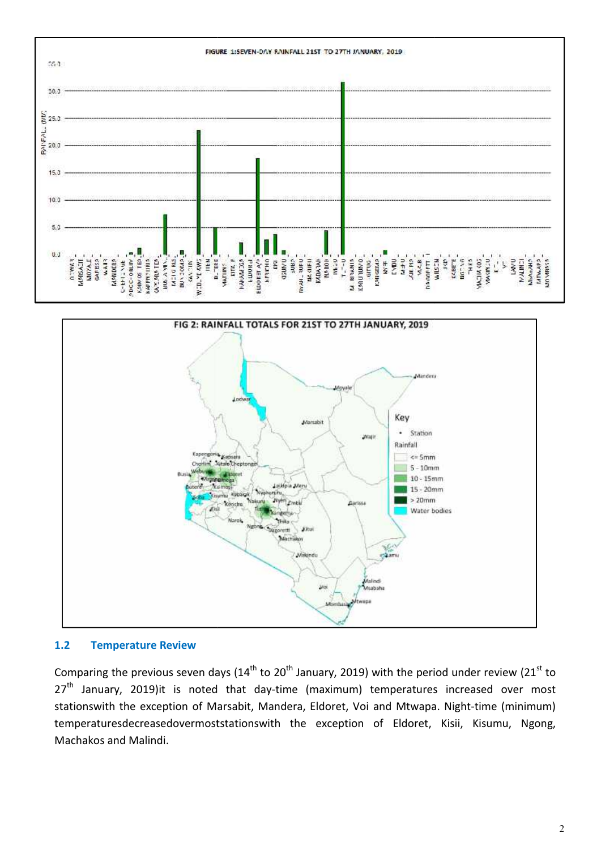



#### **1.2 Temperature Review 1.2Review**

Comparing the previous seven days (14<sup>th</sup> to 20<sup>th</sup> January, 2019) with the period under review (21<sup>st</sup> to 27<sup>th</sup> January, 2019)it is noted that day-time (maximum) temperatures increased over most stationswith the exception of Marsabit, Mandera, Eldoret, Voi and Mtwapa. Night-time (minimum) temperaturesdecreasedovermoststationswith the exception of Eldoret, Kisii, Kisumu, Ngong, Machakos and Malindi.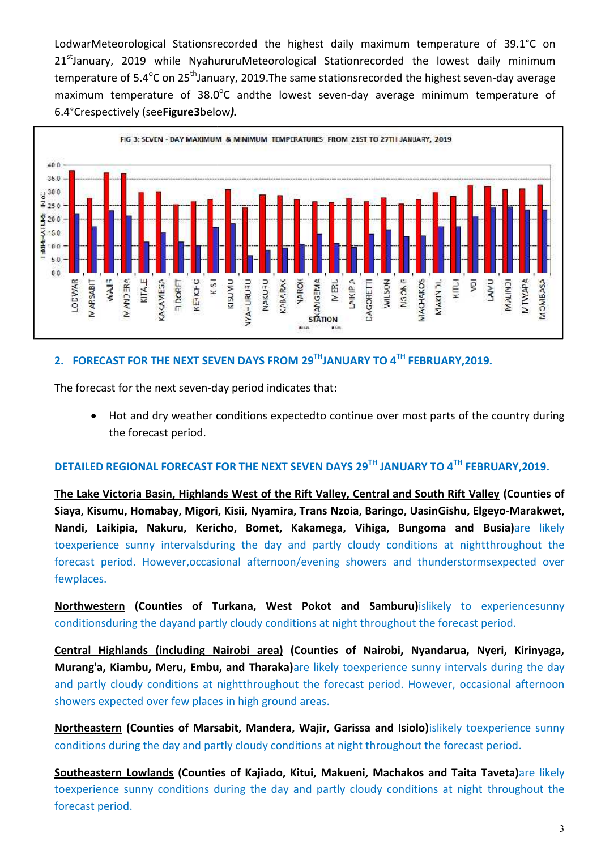LodwarMeteorological Stationsrecorded the highest daily maximum temperature of 39.1°C on LodwarMeteorological Stationsrecorded the highest daily maximum temperature of 39.1°C on<br>21<sup>st</sup>January, 2019 while NyahururuMeteorological Stationrecorded the lowest daily minimum temperature of 5.4°C on 25<sup>th</sup>January, 2019.The same stationsrecorded the highest seven-day average<br>maximum temperature of 38.0°C andthe lowest seven-day average minimum temperature of maximum temperature of 38.0°C andthe lowest seven-day average minimum temperature of 6.4°Crespectively (see**Figure3**below*).*



#### **2. FORECAST FOR THE NEXT SEVEN DAYS FROM 29<sup>TH</sup>JANUARY TO 4<sup>TH</sup> FEBRUARY,2019.**

The forecast for the next seven-day period indicates that:

• Hot and dry weather conditions expectedto continue over most parts of the country during the forecast period. the forecast period.

#### **DETAILED REGIONAL FORECAST FOR THE NEXT SEVEN DAYS 29TH JANUARY TO 4TH FEBRUARY,2019.**

**The Lake Victoria Basin, Highlands West of the Rift Valley, Central and South Rift Valley (Counties of Basin, West of Central and Siaya, Kisumu, Homabay, Migori, Kisii, Nyamira, Trans Nzoia, Baringo, UasinGishu, Elgeyo-Marakwet,** Siaya, Kisumu, Homabay, Migori, Kisii, Nyamira, Trans Nzoia, Baringo, UasinGishu, Elgeyo-Marakwet,<br>Nandi, Laikipia, Nakuru, Kericho, Bomet, Kakamega, Vihiga, Bungoma and Busia)are likely toexperience sunny intervalsduring the day and partly cloudy conditions at nightthroughout the toexperience sunny intervalsduring the day and partly cloudy conditions at nightthroughout the<br>forecast period. However,occasional afternoon/evening showers and thunderstormsexpected over fewplaces.

**Northwestern (Counties of Turkana, West Pokot and Samburu)islikely to experiencesunny<br>conditionsduring the dayand partly cloudy conditions at night throughout the forecast period.** conditionsduring the dayand partly cloudy conditions at night throughout the forecast period.

**Central Highlands (including Nairobi area) (Counties of Nairobi, Nyandarua, Nyeri, Kirinyaga, Murang'a, Kiambu, Meru, Embu, and Tharaka)**are likely toexperience sunny intervals during the day and partly cloudy conditions at nightthroughout the forecast period. However, occasional afternoon showers expected over few places in high ground areas. **Central Highlands (including Nairobi area)** (Counties of Nairobi, Nyandarua, Nyeri, Kirinyaga, Murang'a, Kiambu, Meru, Embu, and Tharaka)are likely toexperience sunny intervals during the day and partly cloudy conditions

**Northeastern (Counties of Marsabit, Mandera, Wajir, Garissa and Isiolo)**islikely toexperience sunny conditions during the day and partly cloudy conditions at night throughout the forecast period.

**Southeastern Lowlands (Counties of Kajiado, Kitui, Makueni, Machakos and Taita Taveta)**are likely **(Counties Kitui,** toexperience sunny conditions during the day and partly cloudy conditions at night throughout the forecast period. period.